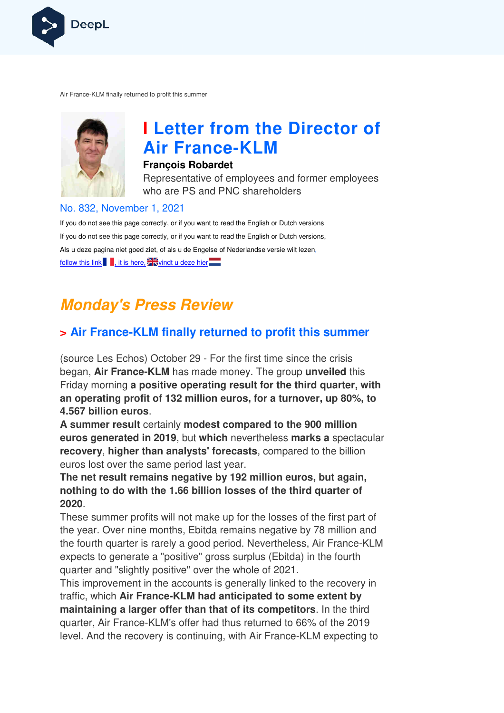

Air France-KLM finally returned to profit this summer KLM



## **I Letter from the Director of Air France France-KLM**

#### **François Robardet**

Representative of employees and former employees who are PS and PNC shareholders

#### No. 832, November 1, 2021

If you do not see this page correctly, or if you want to read the English or Dutch versions If you do not see this page correctly, or if you want to read the English or Dutch versions, Als u deze pagina niet goed ziet, of als u de Engelse of Nederlandse v versie wilt lezen, follow this link , it is here,  $\frac{1}{2}$  windt u deze hier

## **Monday's Press Review**

## **> Air France-KLM finally returned to profit this summer KLM**

(source Les Echos) October 29 - For the first time since the crisis began, **Air France-KLM** has made money. The group **unveiled** this Friday morning **a positive operating result for the third quarter, with**  an operating profit of 132 million euros, for a turnover, up 80%, to **4.567 billion euros**.

**A summer result** certainly **modest compared to the 900 million euros generated in 2019**, but **which** nevertheless **marks a** spectacular **recovery**, **higher than analysts' forecasts** , compared to the billion euros lost over the same period last year.

**The net result remains negative by 192 million euros, but again, nothing to do with the 1.66 billion losses of the third quarter of 2020**.

These summer profits will not make up for the losses of the first part of the year. Over nine months, Ebitda remains negative by 78 million and the year. Over nine months, Ebitda remains negative by 78 million and<br>the fourth quarter is rarely a good period. Nevertheless, Air France-KLM expects to generate a "positive" gross surplus (Ebitda) in the fourth quarter and "slightly positive" over the whole of 2021.

This improvement in the accounts is generally linked to the recovery in traffic, which Air France-KLM had anticipated to some extent by **maintaining a larger offer than that of its competitors** . In the third quarter, Air France-KLM's offer had thus returned to 66% of the 2019 level. And the recovery is continuing, with Air France-KLM expecting to is, Air France-KLM<br>() in the fourth<br>to the recovery in<br>**me extent by<br>ors**. In the third<br>66% of the 2019<br>KLM expecting to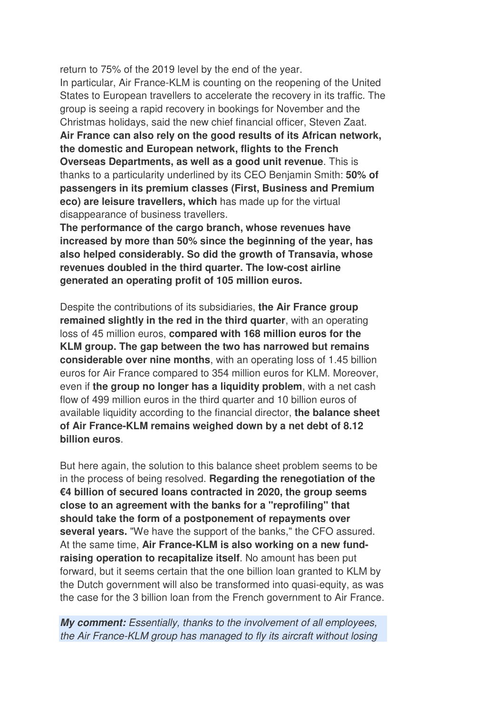return to 75% of the 2019 level by the end of the year.

In particular, Air France-KLM is counting on the reopening of the United States to European travellers to accelerate the recovery in its traffic. The group is seeing a rapid recovery in bookings for November and the Christmas holidays, said the new chief financial officer, Steven Zaat. **Air France can also rely on the good results of its African network, the domestic and European network, flights to the French Overseas Departments, as well as a good unit revenue**. This is thanks to a particularity underlined by its CEO Benjamin Smith: **50% of passengers in its premium classes (First, Business and Premium eco) are leisure travellers, which** has made up for the virtual disappearance of business travellers.

**The performance of the cargo branch, whose revenues have increased by more than 50% since the beginning of the year, has also helped considerably. So did the growth of Transavia, whose revenues doubled in the third quarter. The low-cost airline generated an operating profit of 105 million euros.**

Despite the contributions of its subsidiaries, **the Air France group remained slightly in the red in the third quarter**, with an operating loss of 45 million euros, **compared with 168 million euros for the KLM group. The gap between the two has narrowed but remains considerable over nine months**, with an operating loss of 1.45 billion euros for Air France compared to 354 million euros for KLM. Moreover, even if **the group no longer has a liquidity problem**, with a net cash flow of 499 million euros in the third quarter and 10 billion euros of available liquidity according to the financial director, **the balance sheet of Air France-KLM remains weighed down by a net debt of 8.12 billion euros**.

But here again, the solution to this balance sheet problem seems to be in the process of being resolved. **Regarding the renegotiation of the €4 billion of secured loans contracted in 2020, the group seems close to an agreement with the banks for a "reprofiling" that should take the form of a postponement of repayments over several years.** "We have the support of the banks," the CFO assured. At the same time, **Air France-KLM is also working on a new fundraising operation to recapitalize itself**. No amount has been put forward, but it seems certain that the one billion loan granted to KLM by the Dutch government will also be transformed into quasi-equity, as was the case for the 3 billion loan from the French government to Air France.

**My comment:** Essentially, thanks to the involvement of all employees, the Air France-KLM group has managed to fly its aircraft without losing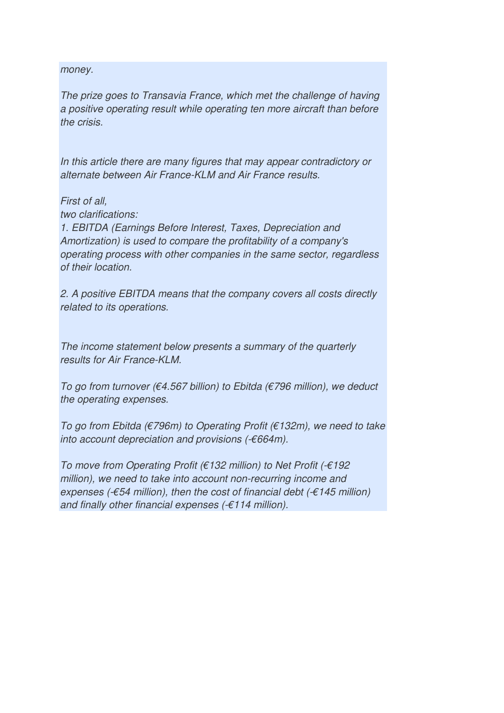money.

The prize goes to Transavia France, which met the challenge of having a positive operating result while operating ten more aircraft than before the crisis.

In this article there are many figures that may appear contradictory or alternate between Air France-KLM and Air France results.

First of all,

two clarifications:

1. EBITDA (Earnings Before Interest, Taxes, Depreciation and Amortization) is used to compare the profitability of a company's operating process with other companies in the same sector, regardless of their location.

2. A positive EBITDA means that the company covers all costs directly related to its operations.

The income statement below presents a summary of the quarterly results for Air France-KLM.

To go from turnover (€4.567 billion) to Ebitda (€796 million), we deduct the operating expenses.

To go from Ebitda ( $\epsilon$ 796m) to Operating Profit ( $\epsilon$ 132m), we need to take into account depreciation and provisions  $(-664m)$ .

To move from Operating Profit (€132 million) to Net Profit (-€192 million), we need to take into account non-recurring income and expenses (- $\epsilon$ 54 million), then the cost of financial debt (- $\epsilon$ 145 million) and finally other financial expenses  $(6.114$  million).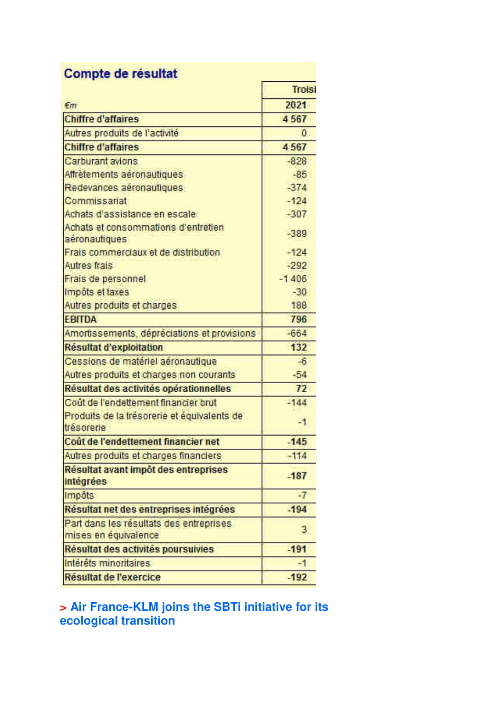| $\epsilon$ m                                                    | Troisi<br>2021 |
|-----------------------------------------------------------------|----------------|
|                                                                 |                |
| Autres produits de l'activité                                   | $\mathbf{0}$   |
| <b>Chiffre d'affaires</b>                                       | 4567           |
| Carburant avions                                                | $-828$         |
| Affrètements aéronautiques                                      | $-85$          |
| Redevances aeronautiques                                        | $-374$         |
| Commissariat                                                    | $-124$         |
| Achats d'assistance en escale                                   | $-307$         |
| Achats et consommations d'entretien<br>aéronautiques            | $-389$         |
| Frais commerciaux et de distribution                            | $-124$         |
| Autres frais                                                    | $-292$         |
| Frais de personnel                                              | $-1406$        |
| Impôts et taxes                                                 | $-30$          |
| Autres produits et charges                                      | 188            |
| <b>EBITDA</b>                                                   | 796            |
| Amortissements, dépréciations et provisions                     | $-664$         |
| Résultat d'exploitation                                         | 132            |
| Cessions de matériel aéronautique                               | $-6$           |
| Autres produits et charges non courants                         | $-54$          |
| Resultat des activités opérationnelles                          | 72             |
| Cout de l'endettement financier brut                            | $-144$         |
| Produits de la trésorerie et équivalents de<br>trésorerie       | -1             |
| Coût de l'endettement financier net                             | 145            |
| Autres produits et charges financiers                           | $-114$         |
| Resultat avant impôt des entreprises<br>intégrées               | $-187$         |
| Impôts                                                          | 辽              |
| Résultat net des entreprises intégrées                          | $-194$         |
| Part dans les résultats des entreprises<br>mises en équivalence | 3              |
| Résultat des activités poursuivies                              | $-191$         |
| Interets minoritaires                                           | $-1$           |
| Résultat de l'exercice                                          | $-192$         |

## **> Air France-KLM joins the SBTi initiative for its ecological transition**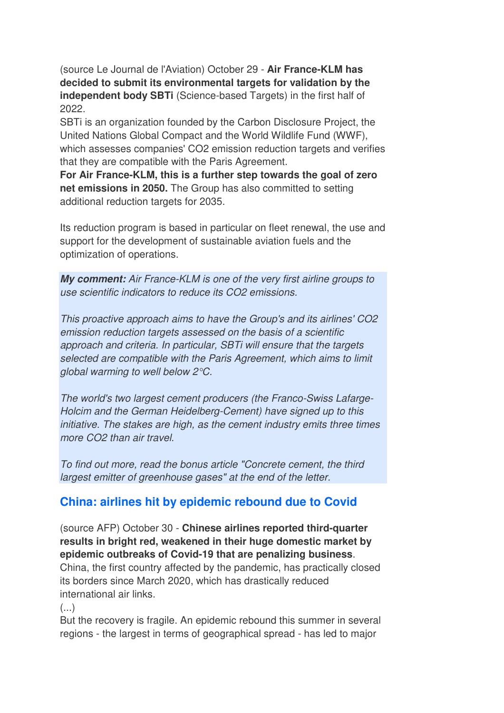(source Le Journal de l'Aviation) October 29 - **Air France-KLM has decided to submit its environmental targets for validation by the independent body SBTi** (Science-based Targets) in the first half of 2022.

SBTi is an organization founded by the Carbon Disclosure Project, the United Nations Global Compact and the World Wildlife Fund (WWF), which assesses companies' CO2 emission reduction targets and verifies that they are compatible with the Paris Agreement.

**For Air France-KLM, this is a further step towards the goal of zero net emissions in 2050.** The Group has also committed to setting additional reduction targets for 2035.

Its reduction program is based in particular on fleet renewal, the use and support for the development of sustainable aviation fuels and the optimization of operations.

**My comment:** Air France-KLM is one of the very first airline groups to use scientific indicators to reduce its CO2 emissions.

This proactive approach aims to have the Group's and its airlines' CO2 emission reduction targets assessed on the basis of a scientific approach and criteria. In particular, SBTi will ensure that the targets selected are compatible with the Paris Agreement, which aims to limit global warming to well below 2°C.

The world's two largest cement producers (the Franco-Swiss Lafarge-Holcim and the German Heidelberg-Cement) have signed up to this initiative. The stakes are high, as the cement industry emits three times more CO2 than air travel.

To find out more, read the bonus article "Concrete cement, the third largest emitter of greenhouse gases" at the end of the letter.

## **China: airlines hit by epidemic rebound due to Covid**

(source AFP) October 30 - **Chinese airlines reported third-quarter results in bright red, weakened in their huge domestic market by epidemic outbreaks of Covid-19 that are penalizing business**. China, the first country affected by the pandemic, has practically closed its borders since March 2020, which has drastically reduced international air links.

 $(\ldots)$ 

But the recovery is fragile. An epidemic rebound this summer in several regions - the largest in terms of geographical spread - has led to major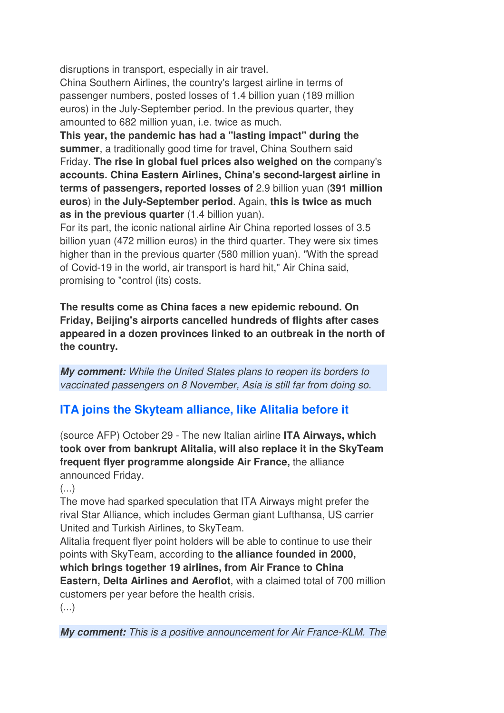disruptions in transport, especially in air travel.

China Southern Airlines, the country's largest airline in terms of passenger numbers, posted losses of 1.4 billion yuan (189 million euros) in the July-September period. In the previous quarter, they amounted to 682 million yuan, i.e. twice as much.

**This year, the pandemic has had a "lasting impact" during the summer**, a traditionally good time for travel, China Southern said Friday. **The rise in global fuel prices also weighed on the** company's **accounts. China Eastern Airlines, China's second-largest airline in terms of passengers, reported losses of** 2.9 billion yuan (**391 million euros**) in **the July-September period**. Again, **this is twice as much as in the previous quarter** (1.4 billion yuan).

For its part, the iconic national airline Air China reported losses of 3.5 billion yuan (472 million euros) in the third quarter. They were six times higher than in the previous quarter (580 million yuan). "With the spread of Covid-19 in the world, air transport is hard hit," Air China said, promising to "control (its) costs.

**The results come as China faces a new epidemic rebound. On Friday, Beijing's airports cancelled hundreds of flights after cases appeared in a dozen provinces linked to an outbreak in the north of the country.**

**My comment:** While the United States plans to reopen its borders to vaccinated passengers on 8 November, Asia is still far from doing so.

## **ITA joins the Skyteam alliance, like Alitalia before it**

(source AFP) October 29 - The new Italian airline **ITA Airways, which took over from bankrupt Alitalia, will also replace it in the SkyTeam frequent flyer programme alongside Air France,** the alliance announced Friday.

 $\left( \ldots \right)$ 

The move had sparked speculation that ITA Airways might prefer the rival Star Alliance, which includes German giant Lufthansa, US carrier United and Turkish Airlines, to SkyTeam.

Alitalia frequent flyer point holders will be able to continue to use their points with SkyTeam, according to **the alliance founded in 2000,** 

**which brings together 19 airlines, from Air France to China Eastern, Delta Airlines and Aeroflot**, with a claimed total of 700 million customers per year before the health crisis.

(...)

**My comment:** This is a positive announcement for Air France-KLM. The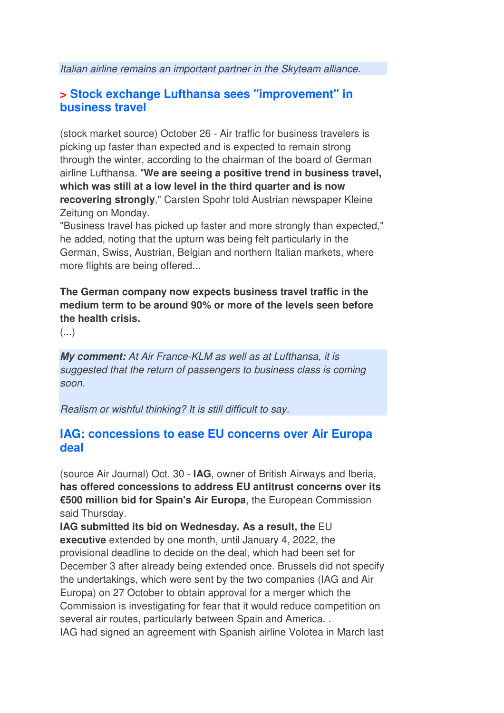Italian airline remains an important partner in the Skyteam alliance.

### **> Stock exchange Lufthansa sees "improvement" in business travel**

(stock market source) October 26 - Air traffic for business travelers is picking up faster than expected and is expected to remain strong through the winter, according to the chairman of the board of German airline Lufthansa. "**We are seeing a positive trend in business travel, which was still at a low level in the third quarter and is now recovering strongly**," Carsten Spohr told Austrian newspaper Kleine Zeitung on Monday.

"Business travel has picked up faster and more strongly than expected," he added, noting that the upturn was being felt particularly in the German, Swiss, Austrian, Belgian and northern Italian markets, where more flights are being offered...

**The German company now expects business travel traffic in the medium term to be around 90% or more of the levels seen before the health crisis.** 

(...)

**My comment:** At Air France-KLM as well as at Lufthansa, it is suggested that the return of passengers to business class is coming soon.

Realism or wishful thinking? It is still difficult to say.

#### **IAG: concessions to ease EU concerns over Air Europa deal**

(source Air Journal) Oct. 30 - **IAG**, owner of British Airways and Iberia, **has offered concessions to address EU antitrust concerns over its €500 million bid for Spain's Air Europa**, the European Commission said Thursday.

**IAG submitted its bid on Wednesday. As a result, the** EU **executive** extended by one month, until January 4, 2022, the provisional deadline to decide on the deal, which had been set for December 3 after already being extended once. Brussels did not specify the undertakings, which were sent by the two companies (IAG and Air Europa) on 27 October to obtain approval for a merger which the Commission is investigating for fear that it would reduce competition on several air routes, particularly between Spain and America. . IAG had signed an agreement with Spanish airline Volotea in March last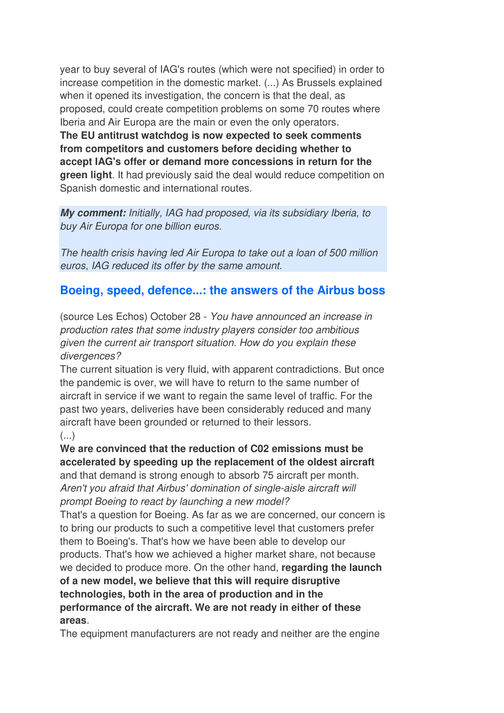year to buy several of IAG's routes (which were not specified) in order to increase competition in the domestic market. (...) As Brussels explained when it opened its investigation, the concern is that the deal, as proposed, could create competition problems on some 70 routes where Iberia and Air Europa are the main or even the only operators. **The EU antitrust watchdog is now expected to seek comments from competitors and customers before deciding whether to accept IAG's offer or demand more concessions in return for the green light**. It had previously said the deal would reduce competition on Spanish domestic and international routes.

**My comment:** Initially, IAG had proposed, via its subsidiary Iberia, to buy Air Europa for one billion euros.

The health crisis having led Air Europa to take out a loan of 500 million euros, IAG reduced its offer by the same amount.

## **Boeing, speed, defence...: the answers of the Airbus boss**

(source Les Echos) October 28 - You have announced an increase in production rates that some industry players consider too ambitious given the current air transport situation. How do you explain these divergences?

The current situation is very fluid, with apparent contradictions. But once the pandemic is over, we will have to return to the same number of aircraft in service if we want to regain the same level of traffic. For the past two years, deliveries have been considerably reduced and many aircraft have been grounded or returned to their lessors.

#### (...)

**We are convinced that the reduction of C02 emissions must be accelerated by speeding up the replacement of the oldest aircraft**  and that demand is strong enough to absorb 75 aircraft per month. Aren't you afraid that Airbus' domination of single-aisle aircraft will

prompt Boeing to react by launching a new model?

That's a question for Boeing. As far as we are concerned, our concern is to bring our products to such a competitive level that customers prefer them to Boeing's. That's how we have been able to develop our products. That's how we achieved a higher market share, not because we decided to produce more. On the other hand, **regarding the launch of a new model, we believe that this will require disruptive technologies, both in the area of production and in the performance of the aircraft. We are not ready in either of these areas**.

The equipment manufacturers are not ready and neither are the engine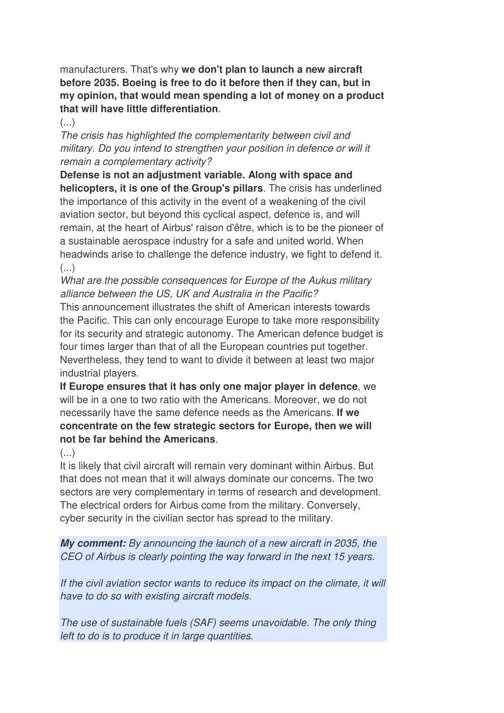manufacturers. That's why **we don't plan to launch a new aircraft before 2035. Boeing is free to do it before then if they can, but in my opinion, that would mean spending a lot of money on a product that will have little differentiation**.

 $\left( \ldots \right)$ 

The crisis has highlighted the complementarity between civil and military. Do you intend to strengthen your position in defence or will it remain a complementary activity?

**Defense is not an adjustment variable. Along with space and helicopters, it is one of the Group's pillars**. The crisis has underlined the importance of this activity in the event of a weakening of the civil aviation sector, but beyond this cyclical aspect, defence is, and will remain, at the heart of Airbus' raison d'être, which is to be the pioneer of a sustainable aerospace industry for a safe and united world. When headwinds arise to challenge the defence industry, we fight to defend it.  $($ ...)

What are the possible consequences for Europe of the Aukus military alliance between the US, UK and Australia in the Pacific?

This announcement illustrates the shift of American interests towards the Pacific. This can only encourage Europe to take more responsibility for its security and strategic autonomy. The American defence budget is four times larger than that of all the European countries put together. Nevertheless, they tend to want to divide it between at least two major industrial players.

**If Europe ensures that it has only one major player in defence**, we will be in a one to two ratio with the Americans. Moreover, we do not necessarily have the same defence needs as the Americans. **If we concentrate on the few strategic sectors for Europe, then we will not be far behind the Americans**.

(...)

It is likely that civil aircraft will remain very dominant within Airbus. But that does not mean that it will always dominate our concerns. The two sectors are very complementary in terms of research and development. The electrical orders for Airbus come from the military. Conversely, cyber security in the civilian sector has spread to the military.

**My comment:** By announcing the launch of a new aircraft in 2035, the CEO of Airbus is clearly pointing the way forward in the next 15 years.

If the civil aviation sector wants to reduce its impact on the climate, it will have to do so with existing aircraft models.

The use of sustainable fuels (SAF) seems unavoidable. The only thing left to do is to produce it in large quantities.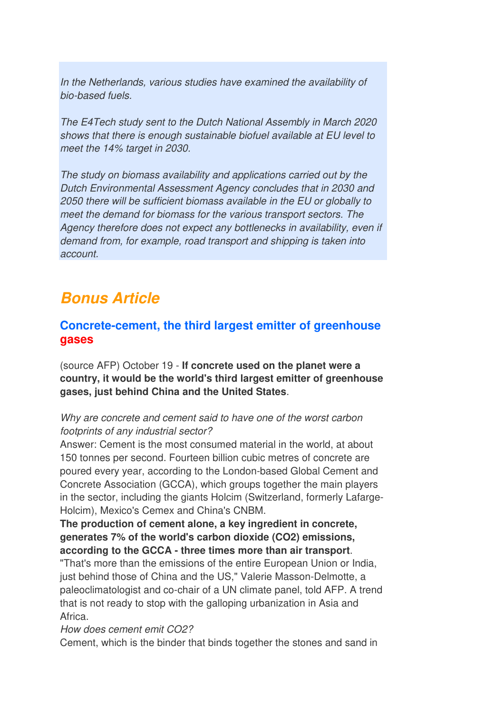In the Netherlands, various studies have examined the availability of bio-based fuels.

The E4Tech study sent to the Dutch National Assembly in March 2020 shows that there is enough sustainable biofuel available at EU level to meet the 14% target in 2030.

The study on biomass availability and applications carried out by the Dutch Environmental Assessment Agency concludes that in 2030 and 2050 there will be sufficient biomass available in the EU or globally to meet the demand for biomass for the various transport sectors. The Agency therefore does not expect any bottlenecks in availability, even if demand from, for example, road transport and shipping is taken into account.

## **Bonus Article**

## **Concrete-cement, the third largest emitter of greenhouse gases**

(source AFP) October 19 - **If concrete used on the planet were a country, it would be the world's third largest emitter of greenhouse gases, just behind China and the United States**.

#### Why are concrete and cement said to have one of the worst carbon footprints of any industrial sector?

Answer: Cement is the most consumed material in the world, at about 150 tonnes per second. Fourteen billion cubic metres of concrete are poured every year, according to the London-based Global Cement and Concrete Association (GCCA), which groups together the main players in the sector, including the giants Holcim (Switzerland, formerly Lafarge-Holcim), Mexico's Cemex and China's CNBM.

**The production of cement alone, a key ingredient in concrete, generates 7% of the world's carbon dioxide (CO2) emissions, according to the GCCA - three times more than air transport**.

"That's more than the emissions of the entire European Union or India, just behind those of China and the US," Valerie Masson-Delmotte, a paleoclimatologist and co-chair of a UN climate panel, told AFP. A trend that is not ready to stop with the galloping urbanization in Asia and Africa.

#### How does cement emit CO2?

Cement, which is the binder that binds together the stones and sand in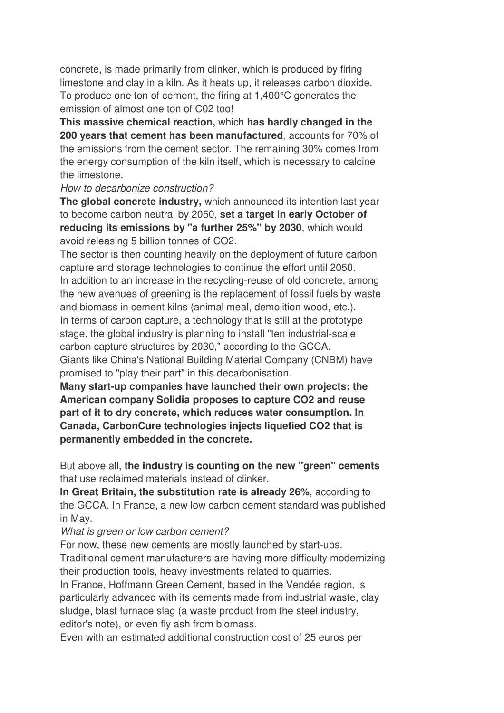concrete, is made primarily from clinker, which is produced by firing limestone and clay in a kiln. As it heats up, it releases carbon dioxide. To produce one ton of cement, the firing at 1,400°C generates the emission of almost one ton of C02 too!

**This massive chemical reaction,** which **has hardly changed in the 200 years that cement has been manufactured**, accounts for 70% of the emissions from the cement sector. The remaining 30% comes from the energy consumption of the kiln itself, which is necessary to calcine the limestone.

#### How to decarbonize construction?

**The global concrete industry,** which announced its intention last year to become carbon neutral by 2050, **set a target in early October of reducing its emissions by "a further 25%" by 2030**, which would avoid releasing 5 billion tonnes of CO2.

The sector is then counting heavily on the deployment of future carbon capture and storage technologies to continue the effort until 2050. In addition to an increase in the recycling-reuse of old concrete, among the new avenues of greening is the replacement of fossil fuels by waste and biomass in cement kilns (animal meal, demolition wood, etc.). In terms of carbon capture, a technology that is still at the prototype stage, the global industry is planning to install "ten industrial-scale carbon capture structures by 2030," according to the GCCA. Giants like China's National Building Material Company (CNBM) have promised to "play their part" in this decarbonisation.

**Many start-up companies have launched their own projects: the American company Solidia proposes to capture CO2 and reuse part of it to dry concrete, which reduces water consumption. In Canada, CarbonCure technologies injects liquefied CO2 that is permanently embedded in the concrete.** 

But above all, **the industry is counting on the new "green" cements** that use reclaimed materials instead of clinker.

**In Great Britain, the substitution rate is already 26%**, according to the GCCA. In France, a new low carbon cement standard was published in May.

#### What is green or low carbon cement?

For now, these new cements are mostly launched by start-ups. Traditional cement manufacturers are having more difficulty modernizing their production tools, heavy investments related to quarries.

In France, Hoffmann Green Cement, based in the Vendée region, is particularly advanced with its cements made from industrial waste, clay sludge, blast furnace slag (a waste product from the steel industry, editor's note), or even fly ash from biomass.

Even with an estimated additional construction cost of 25 euros per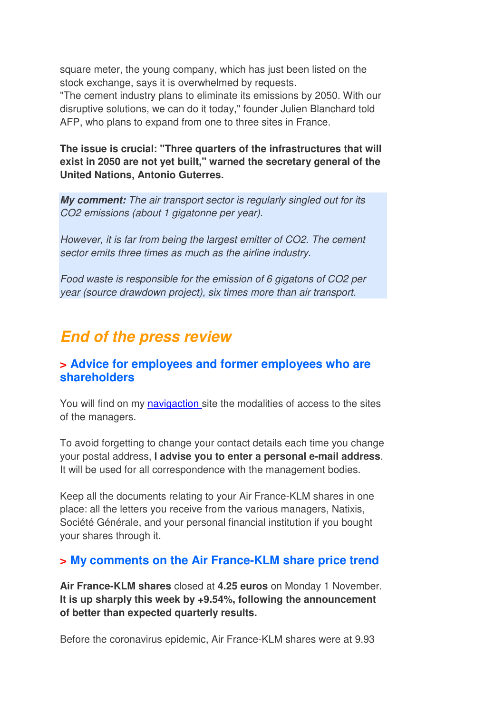square meter, the young company, which has just been listed on the stock exchange, says it is overwhelmed by requests.

"The cement industry plans to eliminate its emissions by 2050. With our disruptive solutions, we can do it today," founder Julien Blanchard told AFP, who plans to expand from one to three sites in France.

**The issue is crucial: "Three quarters of the infrastructures that will exist in 2050 are not yet built," warned the secretary general of the United Nations, Antonio Guterres.**

**My comment:** The air transport sector is regularly singled out for its CO2 emissions (about 1 gigatonne per year).

However, it is far from being the largest emitter of CO2. The cement sector emits three times as much as the airline industry.

Food waste is responsible for the emission of 6 gigatons of CO2 per year (source drawdown project), six times more than air transport.

## **End of the press review**

### **> Advice for employees and former employees who are shareholders**

You will find on my navigaction site the modalities of access to the sites of the managers.

To avoid forgetting to change your contact details each time you change your postal address, **I advise you to enter a personal e-mail address**. It will be used for all correspondence with the management bodies.

Keep all the documents relating to your Air France-KLM shares in one place: all the letters you receive from the various managers, Natixis, Société Générale, and your personal financial institution if you bought your shares through it.

## **> My comments on the Air France-KLM share price trend**

**Air France-KLM shares** closed at **4.25 euros** on Monday 1 November. **It is up sharply this week by +9.54%, following the announcement of better than expected quarterly results.**

Before the coronavirus epidemic, Air France-KLM shares were at 9.93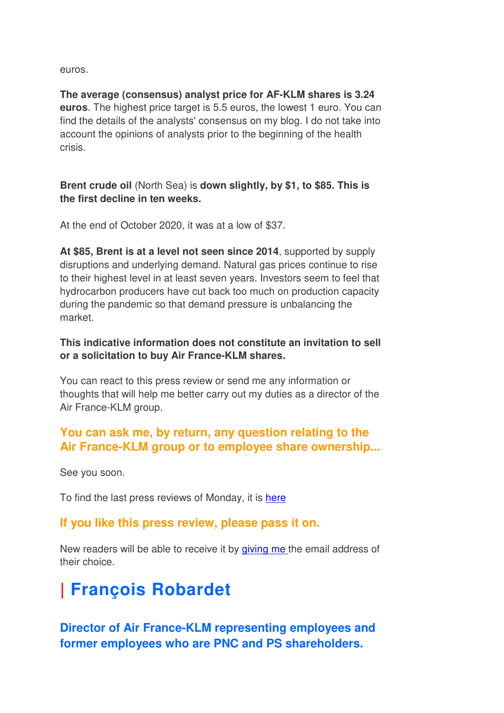euros.

**The average (consensus) analyst price for AF-KLM shares is 3.24 euros**. The highest price target is 5.5 euros, the lowest 1 euro. You can find the details of the analysts' consensus on my blog. I do not take into account the opinions of analysts prior to the beginning of the health crisis.

**Brent crude oil** (North Sea) is **down slightly, by \$1, to \$85. This is the first decline in ten weeks.**

At the end of October 2020, it was at a low of \$37.

**At \$85, Brent is at a level not seen since 2014**, supported by supply disruptions and underlying demand. Natural gas prices continue to rise to their highest level in at least seven years. Investors seem to feel that hydrocarbon producers have cut back too much on production capacity during the pandemic so that demand pressure is unbalancing the market.

#### **This indicative information does not constitute an invitation to sell or a solicitation to buy Air France-KLM shares.**

You can react to this press review or send me any information or thoughts that will help me better carry out my duties as a director of the Air France-KLM group.

## **You can ask me, by return, any question relating to the Air France-KLM group or to employee share ownership...**

See you soon.

To find the last press reviews of Monday, it is here

## **If you like this press review, please pass it on.**

New readers will be able to receive it by giving me the email address of their choice.

# **| François Robardet**

**Director of Air France-KLM representing employees and former employees who are PNC and PS shareholders.**